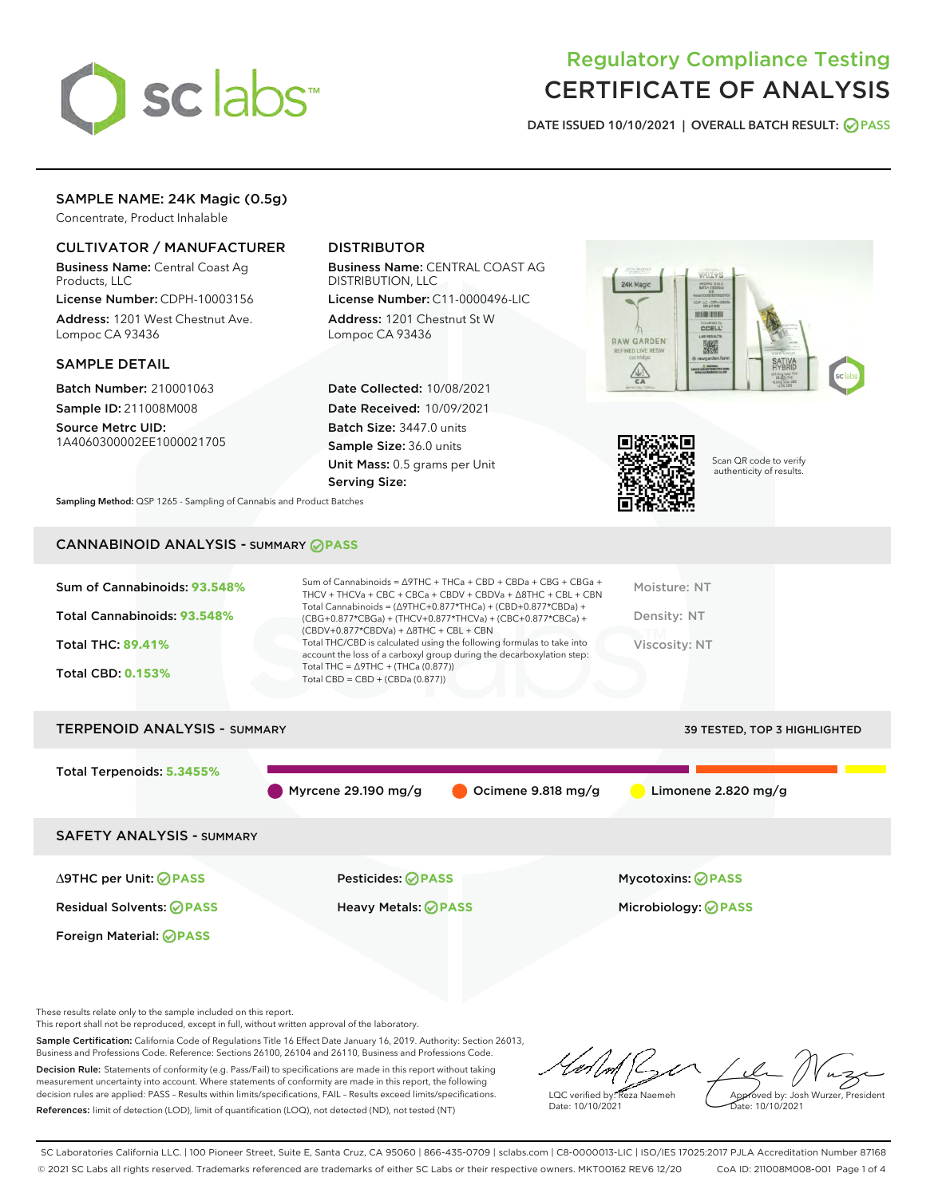

# Regulatory Compliance Testing CERTIFICATE OF ANALYSIS

DATE ISSUED 10/10/2021 | OVERALL BATCH RESULT: @ PASS

# SAMPLE NAME: 24K Magic (0.5g)

Concentrate, Product Inhalable

## CULTIVATOR / MANUFACTURER

Business Name: Central Coast Ag Products, LLC

License Number: CDPH-10003156 Address: 1201 West Chestnut Ave. Lompoc CA 93436

#### SAMPLE DETAIL

Batch Number: 210001063 Sample ID: 211008M008 Source Metrc UID:

1A4060300002EE1000021705

# DISTRIBUTOR

Business Name: CENTRAL COAST AG DISTRIBUTION, LLC

License Number: C11-0000496-LIC Address: 1201 Chestnut St W Lompoc CA 93436

Date Collected: 10/08/2021 Date Received: 10/09/2021 Batch Size: 3447.0 units Sample Size: 36.0 units Unit Mass: 0.5 grams per Unit Serving Size:





Scan QR code to verify authenticity of results.

Sampling Method: QSP 1265 - Sampling of Cannabis and Product Batches

# CANNABINOID ANALYSIS - SUMMARY **PASS**

| Sum of Cannabinoids: 93.548%        | Sum of Cannabinoids = $\triangle$ 9THC + THCa + CBD + CBDa + CBG + CBGa +<br>THCV + THCVa + CBC + CBCa + CBDV + CBDVa + $\land$ 8THC + CBL + CBN                                     | Moisture: NT                        |
|-------------------------------------|--------------------------------------------------------------------------------------------------------------------------------------------------------------------------------------|-------------------------------------|
| Total Cannabinoids: 93.548%         | Total Cannabinoids = $(\Delta$ 9THC+0.877*THCa) + (CBD+0.877*CBDa) +<br>(CBG+0.877*CBGa) + (THCV+0.877*THCVa) + (CBC+0.877*CBCa) +<br>$(CBDV+0.877*CBDVa) + \Delta 8THC + CBL + CBN$ | Density: NT                         |
| <b>Total THC: 89.41%</b>            | Total THC/CBD is calculated using the following formulas to take into<br>account the loss of a carboxyl group during the decarboxylation step:                                       | Viscosity: NT                       |
| <b>Total CBD: 0.153%</b>            | Total THC = $\triangle$ 9THC + (THCa (0.877))<br>Total CBD = $CBD + (CBDa (0.877))$                                                                                                  |                                     |
| <b>TERPENOID ANALYSIS - SUMMARY</b> |                                                                                                                                                                                      | <b>39 TESTED. TOP 3 HIGHLIGHTED</b> |

| <b>ILITERIOLE ARALISIS</b> SUPPART |                                    |                    | 33 TESTED, TOP 3 HIGHLIGHTED |  |
|------------------------------------|------------------------------------|--------------------|------------------------------|--|
| Total Terpenoids: 5.3455%          | $\blacksquare$ Myrcene 29.190 mg/g | Ocimene 9.818 mg/g | Limonene $2.820$ mg/g        |  |
| <b>SAFETY ANALYSIS - SUMMARY</b>   |                                    |                    |                              |  |
| ∆9THC per Unit: ⊘PASS              | <b>Pesticides: ⊘ PASS</b>          |                    | <b>Mycotoxins: ⊘PASS</b>     |  |

Foreign Material: **PASS**

Residual Solvents: **PASS** Heavy Metals: **PASS** Microbiology: **PASS**

These results relate only to the sample included on this report.

This report shall not be reproduced, except in full, without written approval of the laboratory.

Sample Certification: California Code of Regulations Title 16 Effect Date January 16, 2019. Authority: Section 26013, Business and Professions Code. Reference: Sections 26100, 26104 and 26110, Business and Professions Code. Decision Rule: Statements of conformity (e.g. Pass/Fail) to specifications are made in this report without taking measurement uncertainty into account. Where statements of conformity are made in this report, the following

decision rules are applied: PASS – Results within limits/specifications, FAIL – Results exceed limits/specifications. References: limit of detection (LOD), limit of quantification (LOQ), not detected (ND), not tested (NT)

LQC verified by: Reza Naemeh Date: 10/10/2021 Approved by: Josh Wurzer, President Date: 10/10/2021

SC Laboratories California LLC. | 100 Pioneer Street, Suite E, Santa Cruz, CA 95060 | 866-435-0709 | sclabs.com | C8-0000013-LIC | ISO/IES 17025:2017 PJLA Accreditation Number 87168 © 2021 SC Labs all rights reserved. Trademarks referenced are trademarks of either SC Labs or their respective owners. MKT00162 REV6 12/20 CoA ID: 211008M008-001 Page 1 of 4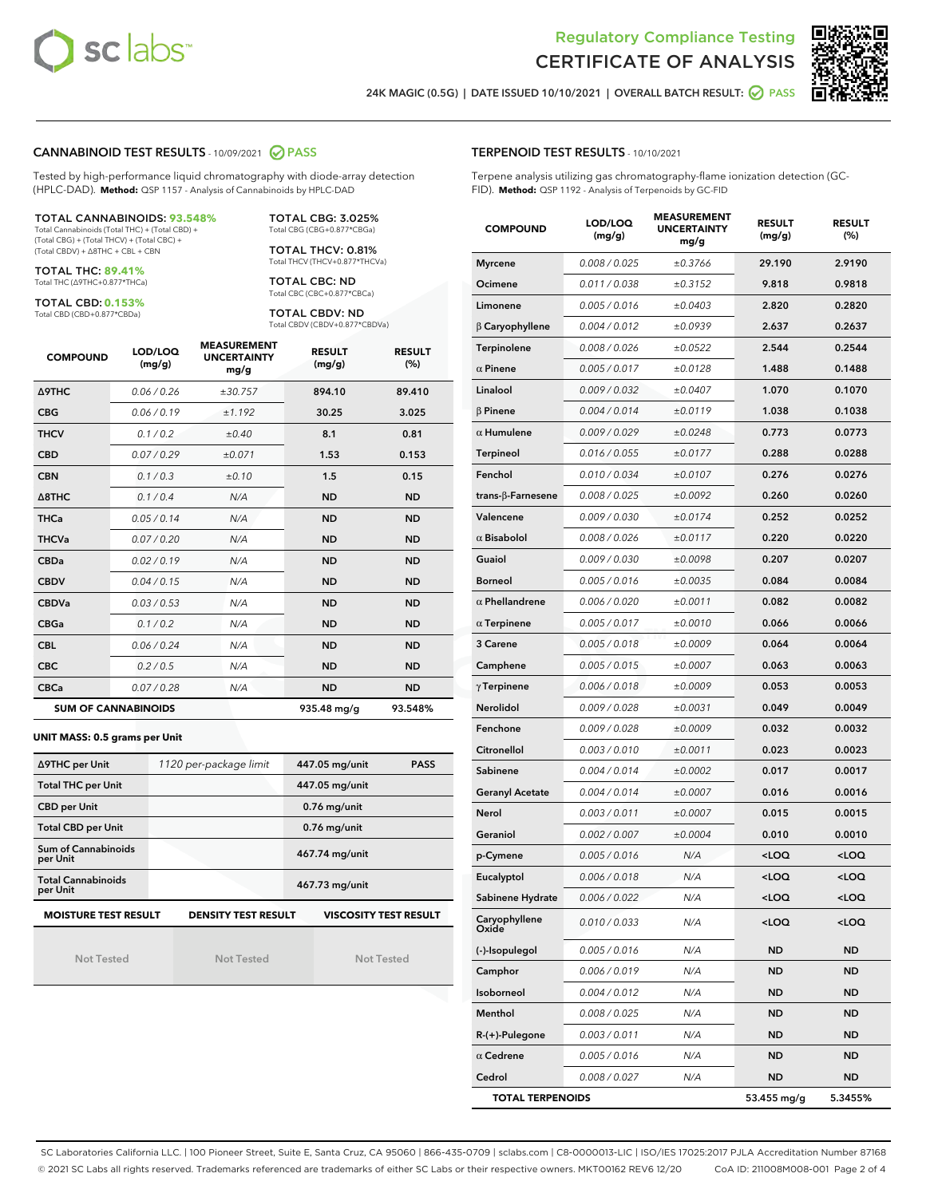



24K MAGIC (0.5G) | DATE ISSUED 10/10/2021 | OVERALL BATCH RESULT:  $\bigcirc$  PASS

#### CANNABINOID TEST RESULTS - 10/09/2021 2 PASS

Tested by high-performance liquid chromatography with diode-array detection (HPLC-DAD). **Method:** QSP 1157 - Analysis of Cannabinoids by HPLC-DAD

#### TOTAL CANNABINOIDS: **93.548%**

Total Cannabinoids (Total THC) + (Total CBD) + (Total CBG) + (Total THCV) + (Total CBC) + (Total CBDV) + ∆8THC + CBL + CBN

TOTAL THC: **89.41%** Total THC (∆9THC+0.877\*THCa)

TOTAL CBD: **0.153%**

Total CBD (CBD+0.877\*CBDa)

TOTAL CBG: 3.025% Total CBG (CBG+0.877\*CBGa)

TOTAL THCV: 0.81% Total THCV (THCV+0.877\*THCVa)

TOTAL CBC: ND Total CBC (CBC+0.877\*CBCa)

TOTAL CBDV: ND Total CBDV (CBDV+0.877\*CBDVa)

| <b>COMPOUND</b>            | LOD/LOQ<br>(mg/g) | <b>MEASUREMENT</b><br><b>UNCERTAINTY</b><br>mg/g | <b>RESULT</b><br>(mg/g) | <b>RESULT</b><br>(%) |
|----------------------------|-------------------|--------------------------------------------------|-------------------------|----------------------|
| <b>A9THC</b>               | 0.06/0.26         | ±30.757                                          | 894.10                  | 89.410               |
| <b>CBG</b>                 | 0.06/0.19         | ±1.192                                           | 30.25                   | 3.025                |
| <b>THCV</b>                | 0.1 / 0.2         | ±0.40                                            | 8.1                     | 0.81                 |
| <b>CBD</b>                 | 0.07/0.29         | ±0.071                                           | 1.53                    | 0.153                |
| <b>CBN</b>                 | 0.1/0.3           | ±0.10                                            | 1.5                     | 0.15                 |
| $\triangle$ 8THC           | 0.1/0.4           | N/A                                              | <b>ND</b>               | <b>ND</b>            |
| <b>THCa</b>                | 0.05/0.14         | N/A                                              | <b>ND</b>               | <b>ND</b>            |
| <b>THCVa</b>               | 0.07 / 0.20       | N/A                                              | <b>ND</b>               | <b>ND</b>            |
| <b>CBDa</b>                | 0.02/0.19         | N/A                                              | <b>ND</b>               | <b>ND</b>            |
| <b>CBDV</b>                | 0.04 / 0.15       | N/A                                              | <b>ND</b>               | <b>ND</b>            |
| <b>CBDVa</b>               | 0.03/0.53         | N/A                                              | <b>ND</b>               | <b>ND</b>            |
| <b>CBGa</b>                | 0.1/0.2           | N/A                                              | <b>ND</b>               | <b>ND</b>            |
| <b>CBL</b>                 | 0.06 / 0.24       | N/A                                              | <b>ND</b>               | <b>ND</b>            |
| <b>CBC</b>                 | 0.2 / 0.5         | N/A                                              | <b>ND</b>               | <b>ND</b>            |
| <b>CBCa</b>                | 0.07/0.28         | N/A                                              | <b>ND</b>               | <b>ND</b>            |
| <b>SUM OF CANNABINOIDS</b> |                   |                                                  | 935.48 mg/g             | 93.548%              |

#### **UNIT MASS: 0.5 grams per Unit**

| ∆9THC per Unit                        | 1120 per-package limit     | 447.05 mg/unit<br><b>PASS</b> |
|---------------------------------------|----------------------------|-------------------------------|
| <b>Total THC per Unit</b>             |                            | 447.05 mg/unit                |
| <b>CBD per Unit</b>                   |                            | $0.76$ mg/unit                |
| <b>Total CBD per Unit</b>             |                            | $0.76$ mg/unit                |
| Sum of Cannabinoids<br>per Unit       |                            | 467.74 mg/unit                |
| <b>Total Cannabinoids</b><br>per Unit |                            | 467.73 mg/unit                |
| <b>MOISTURE TEST RESULT</b>           | <b>DENSITY TEST RESULT</b> | <b>VISCOSITY TEST RESULT</b>  |

Not Tested

Not Tested

Not Tested

#### TERPENOID TEST RESULTS - 10/10/2021

Terpene analysis utilizing gas chromatography-flame ionization detection (GC-FID). **Method:** QSP 1192 - Analysis of Terpenoids by GC-FID

| <b>COMPOUND</b>         | LOD/LOQ<br>(mg/g) | <b>MEASUREMENT</b><br><b>UNCERTAINTY</b><br>mg/g | <b>RESULT</b><br>(mg/g)                          | <b>RESULT</b><br>$(\%)$ |
|-------------------------|-------------------|--------------------------------------------------|--------------------------------------------------|-------------------------|
| <b>Myrcene</b>          | 0.008 / 0.025     | ±0.3766                                          | 29.190                                           | 2.9190                  |
| Ocimene                 | 0.011 / 0.038     | ±0.3152                                          | 9.818                                            | 0.9818                  |
| Limonene                | 0.005 / 0.016     | ±0.0403                                          | 2.820                                            | 0.2820                  |
| $\beta$ Caryophyllene   | 0.004 / 0.012     | ±0.0939                                          | 2.637                                            | 0.2637                  |
| Terpinolene             | 0.008 / 0.026     | ±0.0522                                          | 2.544                                            | 0.2544                  |
| $\alpha$ Pinene         | 0.005 / 0.017     | ±0.0128                                          | 1.488                                            | 0.1488                  |
| Linalool                | 0.009 / 0.032     | ±0.0407                                          | 1.070                                            | 0.1070                  |
| $\beta$ Pinene          | 0.004 / 0.014     | ±0.0119                                          | 1.038                                            | 0.1038                  |
| $\alpha$ Humulene       | 0.009 / 0.029     | ±0.0248                                          | 0.773                                            | 0.0773                  |
| <b>Terpineol</b>        | 0.016 / 0.055     | ±0.0177                                          | 0.288                                            | 0.0288                  |
| Fenchol                 | 0.010 / 0.034     | ±0.0107                                          | 0.276                                            | 0.0276                  |
| trans-β-Farnesene       | 0.008 / 0.025     | ±0.0092                                          | 0.260                                            | 0.0260                  |
| Valencene               | 0.009 / 0.030     | ±0.0174                                          | 0.252                                            | 0.0252                  |
| $\alpha$ Bisabolol      | 0.008 / 0.026     | ±0.0117                                          | 0.220                                            | 0.0220                  |
| Guaiol                  | 0.009 / 0.030     | ±0.0098                                          | 0.207                                            | 0.0207                  |
| <b>Borneol</b>          | 0.005 / 0.016     | ±0.0035                                          | 0.084                                            | 0.0084                  |
| $\alpha$ Phellandrene   | 0.006 / 0.020     | ±0.0011                                          | 0.082                                            | 0.0082                  |
| $\alpha$ Terpinene      | 0.005 / 0.017     | ±0.0010                                          | 0.066                                            | 0.0066                  |
| 3 Carene                | 0.005 / 0.018     | ±0.0009                                          | 0.064                                            | 0.0064                  |
| Camphene                | 0.005 / 0.015     | ±0.0007                                          | 0.063                                            | 0.0063                  |
| $\gamma$ Terpinene      | 0.006 / 0.018     | ±0.0009                                          | 0.053                                            | 0.0053                  |
| Nerolidol               | 0.009 / 0.028     | ±0.0031                                          | 0.049                                            | 0.0049                  |
| Fenchone                | 0.009 / 0.028     | ±0.0009                                          | 0.032                                            | 0.0032                  |
| Citronellol             | 0.003 / 0.010     | ±0.0011                                          | 0.023                                            | 0.0023                  |
| Sabinene                | 0.004 / 0.014     | ±0.0002                                          | 0.017                                            | 0.0017                  |
| <b>Geranyl Acetate</b>  | 0.004 / 0.014     | ±0.0007                                          | 0.016                                            | 0.0016                  |
| Nerol                   | 0.003 / 0.011     | ±0.0007                                          | 0.015                                            | 0.0015                  |
| Geraniol                | 0.002 / 0.007     | ±0.0004                                          | 0.010                                            | 0.0010                  |
| p-Cymene                | 0.005 / 0.016     | N/A                                              | <loq< th=""><th><loq< th=""></loq<></th></loq<>  | <loq< th=""></loq<>     |
| Eucalyptol              | 0.006 / 0.018     | N/A                                              | <loq< th=""><th><math>&lt;</math>LOQ</th></loq<> | $<$ LOQ                 |
| Sabinene Hydrate        | 0.006 / 0.022     | N/A                                              | <loq< th=""><th><loq< th=""></loq<></th></loq<>  | <loq< th=""></loq<>     |
| Caryophyllene<br>Oxide  | 0.010 / 0.033     | N/A                                              | 100                                              | <loq< th=""></loq<>     |
| (-)-Isopulegol          | 0.005 / 0.016     | N/A                                              | ND                                               | <b>ND</b>               |
| Camphor                 | 0.006 / 0.019     | N/A                                              | <b>ND</b>                                        | ND                      |
| Isoborneol              | 0.004 / 0.012     | N/A                                              | ND                                               | ND                      |
| Menthol                 | 0.008 / 0.025     | N/A                                              | ND                                               | <b>ND</b>               |
| $R-(+)$ -Pulegone       | 0.003 / 0.011     | N/A                                              | ND                                               | ND                      |
| $\alpha$ Cedrene        | 0.005 / 0.016     | N/A                                              | ND                                               | ND                      |
| Cedrol                  | 0.008 / 0.027     | N/A                                              | ND                                               | ND                      |
| <b>TOTAL TERPENOIDS</b> |                   |                                                  | 53.455 mg/g                                      | 5.3455%                 |

SC Laboratories California LLC. | 100 Pioneer Street, Suite E, Santa Cruz, CA 95060 | 866-435-0709 | sclabs.com | C8-0000013-LIC | ISO/IES 17025:2017 PJLA Accreditation Number 87168 © 2021 SC Labs all rights reserved. Trademarks referenced are trademarks of either SC Labs or their respective owners. MKT00162 REV6 12/20 CoA ID: 211008M008-001 Page 2 of 4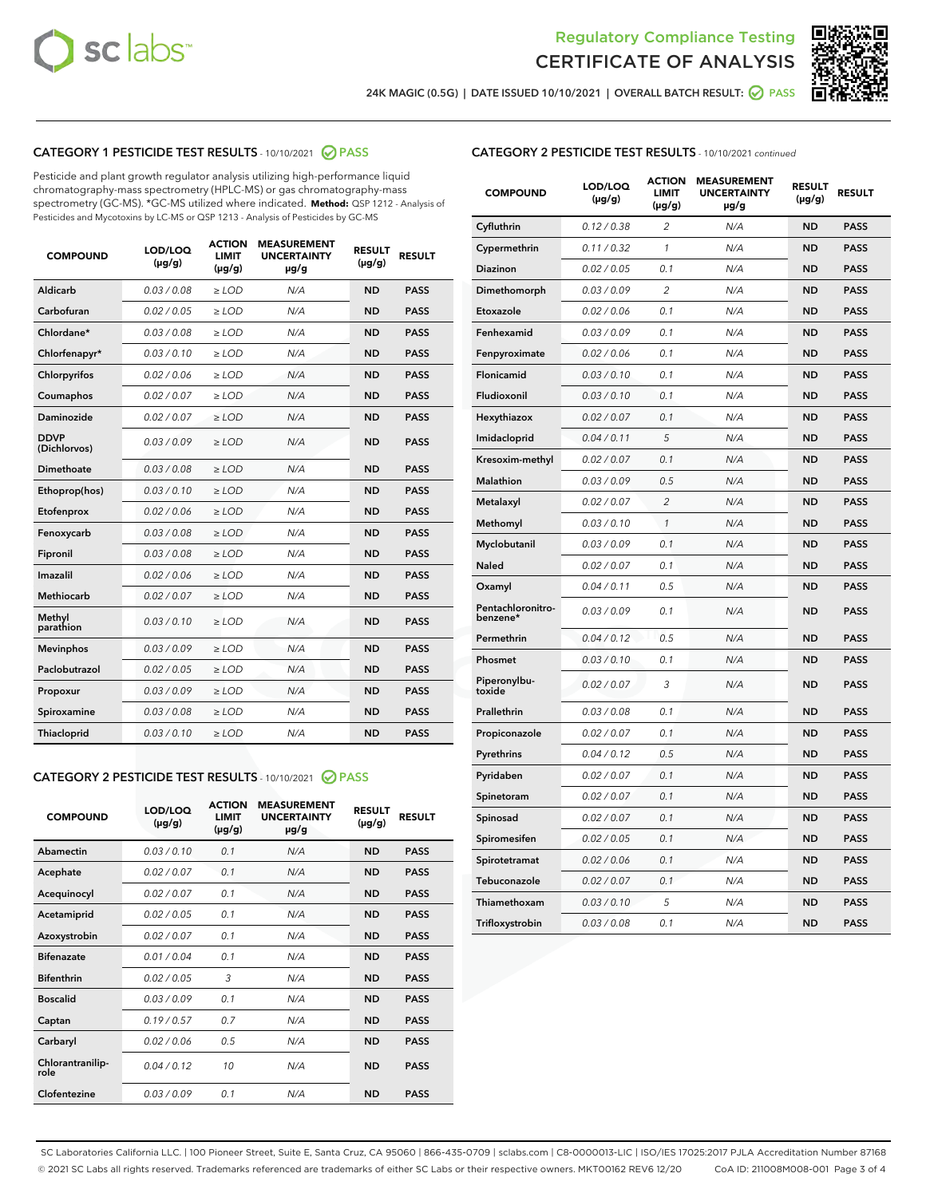



24K MAGIC (0.5G) | DATE ISSUED 10/10/2021 | OVERALL BATCH RESULT: 2 PASS

# CATEGORY 1 PESTICIDE TEST RESULTS - 10/10/2021 2 PASS

Pesticide and plant growth regulator analysis utilizing high-performance liquid chromatography-mass spectrometry (HPLC-MS) or gas chromatography-mass spectrometry (GC-MS). \*GC-MS utilized where indicated. **Method:** QSP 1212 - Analysis of Pesticides and Mycotoxins by LC-MS or QSP 1213 - Analysis of Pesticides by GC-MS

| <b>COMPOUND</b>             | LOD/LOQ<br>$(\mu g/g)$ | <b>ACTION</b><br><b>LIMIT</b><br>$(\mu q/q)$ | <b>MEASUREMENT</b><br><b>UNCERTAINTY</b><br>$\mu$ g/g | <b>RESULT</b><br>$(\mu g/g)$ | <b>RESULT</b> |
|-----------------------------|------------------------|----------------------------------------------|-------------------------------------------------------|------------------------------|---------------|
| Aldicarb                    | 0.03 / 0.08            | $\ge$ LOD                                    | N/A                                                   | <b>ND</b>                    | <b>PASS</b>   |
| Carbofuran                  | 0.02 / 0.05            | $\ge$ LOD                                    | N/A                                                   | <b>ND</b>                    | <b>PASS</b>   |
| Chlordane*                  | 0.03 / 0.08            | $\ge$ LOD                                    | N/A                                                   | <b>ND</b>                    | <b>PASS</b>   |
| Chlorfenapyr*               | 0.03/0.10              | $\ge$ LOD                                    | N/A                                                   | <b>ND</b>                    | <b>PASS</b>   |
| Chlorpyrifos                | 0.02 / 0.06            | $\ge$ LOD                                    | N/A                                                   | <b>ND</b>                    | <b>PASS</b>   |
| Coumaphos                   | 0.02 / 0.07            | $\ge$ LOD                                    | N/A                                                   | <b>ND</b>                    | <b>PASS</b>   |
| Daminozide                  | 0.02 / 0.07            | $\ge$ LOD                                    | N/A                                                   | <b>ND</b>                    | <b>PASS</b>   |
| <b>DDVP</b><br>(Dichlorvos) | 0.03/0.09              | $\ge$ LOD                                    | N/A                                                   | <b>ND</b>                    | <b>PASS</b>   |
| Dimethoate                  | 0.03 / 0.08            | $\ge$ LOD                                    | N/A                                                   | <b>ND</b>                    | <b>PASS</b>   |
| Ethoprop(hos)               | 0.03/0.10              | $\ge$ LOD                                    | N/A                                                   | <b>ND</b>                    | <b>PASS</b>   |
| Etofenprox                  | 0.02/0.06              | $>$ LOD                                      | N/A                                                   | <b>ND</b>                    | <b>PASS</b>   |
| Fenoxycarb                  | 0.03 / 0.08            | $\ge$ LOD                                    | N/A                                                   | <b>ND</b>                    | <b>PASS</b>   |
| Fipronil                    | 0.03/0.08              | $>$ LOD                                      | N/A                                                   | <b>ND</b>                    | <b>PASS</b>   |
| Imazalil                    | 0.02 / 0.06            | $\ge$ LOD                                    | N/A                                                   | <b>ND</b>                    | <b>PASS</b>   |
| Methiocarb                  | 0.02 / 0.07            | $\ge$ LOD                                    | N/A                                                   | <b>ND</b>                    | <b>PASS</b>   |
| Methyl<br>parathion         | 0.03/0.10              | $>$ LOD                                      | N/A                                                   | <b>ND</b>                    | <b>PASS</b>   |
| <b>Mevinphos</b>            | 0.03/0.09              | $>$ LOD                                      | N/A                                                   | <b>ND</b>                    | <b>PASS</b>   |
| Paclobutrazol               | 0.02 / 0.05            | $>$ LOD                                      | N/A                                                   | <b>ND</b>                    | <b>PASS</b>   |
| Propoxur                    | 0.03/0.09              | $\ge$ LOD                                    | N/A                                                   | <b>ND</b>                    | <b>PASS</b>   |
| Spiroxamine                 | 0.03/0.08              | $\ge$ LOD                                    | N/A                                                   | <b>ND</b>                    | <b>PASS</b>   |
| Thiacloprid                 | 0.03/0.10              | $\ge$ LOD                                    | N/A                                                   | <b>ND</b>                    | <b>PASS</b>   |

#### CATEGORY 2 PESTICIDE TEST RESULTS - 10/10/2021 @ PASS

| <b>COMPOUND</b>          | LOD/LOQ<br>$(\mu g/g)$ | <b>ACTION</b><br><b>LIMIT</b><br>$(\mu g/g)$ | <b>MEASUREMENT</b><br><b>UNCERTAINTY</b><br>$\mu$ g/g | <b>RESULT</b><br>$(\mu g/g)$ | <b>RESULT</b> |
|--------------------------|------------------------|----------------------------------------------|-------------------------------------------------------|------------------------------|---------------|
| Abamectin                | 0.03/0.10              | 0.1                                          | N/A                                                   | <b>ND</b>                    | <b>PASS</b>   |
| Acephate                 | 0.02/0.07              | 0.1                                          | N/A                                                   | <b>ND</b>                    | <b>PASS</b>   |
| Acequinocyl              | 0.02/0.07              | 0.1                                          | N/A                                                   | <b>ND</b>                    | <b>PASS</b>   |
| Acetamiprid              | 0.02/0.05              | 0.1                                          | N/A                                                   | <b>ND</b>                    | <b>PASS</b>   |
| Azoxystrobin             | 0.02/0.07              | 0.1                                          | N/A                                                   | <b>ND</b>                    | <b>PASS</b>   |
| <b>Bifenazate</b>        | 0.01/0.04              | 0.1                                          | N/A                                                   | <b>ND</b>                    | <b>PASS</b>   |
| <b>Bifenthrin</b>        | 0.02/0.05              | 3                                            | N/A                                                   | <b>ND</b>                    | <b>PASS</b>   |
| <b>Boscalid</b>          | 0.03/0.09              | 0.1                                          | N/A                                                   | <b>ND</b>                    | <b>PASS</b>   |
| Captan                   | 0.19/0.57              | 0.7                                          | N/A                                                   | <b>ND</b>                    | <b>PASS</b>   |
| Carbaryl                 | 0.02/0.06              | 0.5                                          | N/A                                                   | <b>ND</b>                    | <b>PASS</b>   |
| Chlorantranilip-<br>role | 0.04/0.12              | 10                                           | N/A                                                   | <b>ND</b>                    | <b>PASS</b>   |
| Clofentezine             | 0.03/0.09              | 0.1                                          | N/A                                                   | <b>ND</b>                    | <b>PASS</b>   |

| <b>COMPOUND</b>               | LOD/LOQ<br>(µg/g) | <b>ACTION</b><br><b>LIMIT</b><br>$(\mu g/g)$ | <b>MEASUREMENT</b><br><b>UNCERTAINTY</b><br>µg/g | <b>RESULT</b><br>(µg/g) | <b>RESULT</b> |
|-------------------------------|-------------------|----------------------------------------------|--------------------------------------------------|-------------------------|---------------|
| Cyfluthrin                    | 0.12 / 0.38       | $\overline{2}$                               | N/A                                              | <b>ND</b>               | <b>PASS</b>   |
| Cypermethrin                  | 0.11 / 0.32       | $\mathbf{1}$                                 | N/A                                              | <b>ND</b>               | <b>PASS</b>   |
| Diazinon                      | 0.02 / 0.05       | 0.1                                          | N/A                                              | <b>ND</b>               | PASS          |
| Dimethomorph                  | 0.03 / 0.09       | $\overline{2}$                               | N/A                                              | <b>ND</b>               | <b>PASS</b>   |
| Etoxazole                     | 0.02 / 0.06       | 0.1                                          | N/A                                              | ND                      | <b>PASS</b>   |
| Fenhexamid                    | 0.03 / 0.09       | 0.1                                          | N/A                                              | ND                      | <b>PASS</b>   |
| Fenpyroximate                 | 0.02 / 0.06       | 0.1                                          | N/A                                              | <b>ND</b>               | <b>PASS</b>   |
| <b>Flonicamid</b>             | 0.03 / 0.10       | 0.1                                          | N/A                                              | <b>ND</b>               | <b>PASS</b>   |
| Fludioxonil                   | 0.03 / 0.10       | 0.1                                          | N/A                                              | <b>ND</b>               | <b>PASS</b>   |
| Hexythiazox                   | 0.02 / 0.07       | 0.1                                          | N/A                                              | ND                      | <b>PASS</b>   |
| Imidacloprid                  | 0.04 / 0.11       | 5                                            | N/A                                              | <b>ND</b>               | <b>PASS</b>   |
| Kresoxim-methyl               | 0.02 / 0.07       | 0.1                                          | N/A                                              | ND                      | <b>PASS</b>   |
| <b>Malathion</b>              | 0.03 / 0.09       | 0.5                                          | N/A                                              | <b>ND</b>               | <b>PASS</b>   |
| Metalaxyl                     | 0.02 / 0.07       | $\overline{2}$                               | N/A                                              | <b>ND</b>               | <b>PASS</b>   |
| Methomyl                      | 0.03 / 0.10       | $\mathbf{1}$                                 | N/A                                              | <b>ND</b>               | PASS          |
| Myclobutanil                  | 0.03 / 0.09       | 0.1                                          | N/A                                              | <b>ND</b>               | <b>PASS</b>   |
| Naled                         | 0.02 / 0.07       | 0.1                                          | N/A                                              | ND                      | <b>PASS</b>   |
| Oxamyl                        | 0.04 / 0.11       | 0.5                                          | N/A                                              | ND                      | <b>PASS</b>   |
| Pentachloronitro-<br>benzene* | 0.03 / 0.09       | 0.1                                          | N/A                                              | <b>ND</b>               | <b>PASS</b>   |
| Permethrin                    | 0.04 / 0.12       | 0.5                                          | N/A                                              | ND                      | <b>PASS</b>   |
| Phosmet                       | 0.03 / 0.10       | 0.1                                          | N/A                                              | <b>ND</b>               | PASS          |
| Piperonylbu-<br>toxide        | 0.02 / 0.07       | 3                                            | N/A                                              | <b>ND</b>               | <b>PASS</b>   |
| Prallethrin                   | 0.03 / 0.08       | 0.1                                          | N/A                                              | <b>ND</b>               | <b>PASS</b>   |
| Propiconazole                 | 0.02 / 0.07       | 0.1                                          | N/A                                              | <b>ND</b>               | <b>PASS</b>   |
| Pyrethrins                    | 0.04 / 0.12       | 0.5                                          | N/A                                              | ND                      | <b>PASS</b>   |
| Pyridaben                     | 0.02 / 0.07       | 0.1                                          | N/A                                              | ND                      | <b>PASS</b>   |
| Spinetoram                    | 0.02 / 0.07       | 0.1                                          | N/A                                              | <b>ND</b>               | <b>PASS</b>   |
| Spinosad                      | 0.02 / 0.07       | 0.1                                          | N/A                                              | ND                      | <b>PASS</b>   |
| Spiromesifen                  | 0.02 / 0.05       | 0.1                                          | N/A                                              | ND                      | <b>PASS</b>   |
| Spirotetramat                 | 0.02 / 0.06       | 0.1                                          | N/A                                              | <b>ND</b>               | <b>PASS</b>   |
| Tebuconazole                  | 0.02 / 0.07       | 0.1                                          | N/A                                              | ND                      | <b>PASS</b>   |
| Thiamethoxam                  | 0.03 / 0.10       | 5                                            | N/A                                              | <b>ND</b>               | <b>PASS</b>   |
| Trifloxystrobin               | 0.03 / 0.08       | 0.1                                          | N/A                                              | <b>ND</b>               | <b>PASS</b>   |

SC Laboratories California LLC. | 100 Pioneer Street, Suite E, Santa Cruz, CA 95060 | 866-435-0709 | sclabs.com | C8-0000013-LIC | ISO/IES 17025:2017 PJLA Accreditation Number 87168 © 2021 SC Labs all rights reserved. Trademarks referenced are trademarks of either SC Labs or their respective owners. MKT00162 REV6 12/20 CoA ID: 211008M008-001 Page 3 of 4